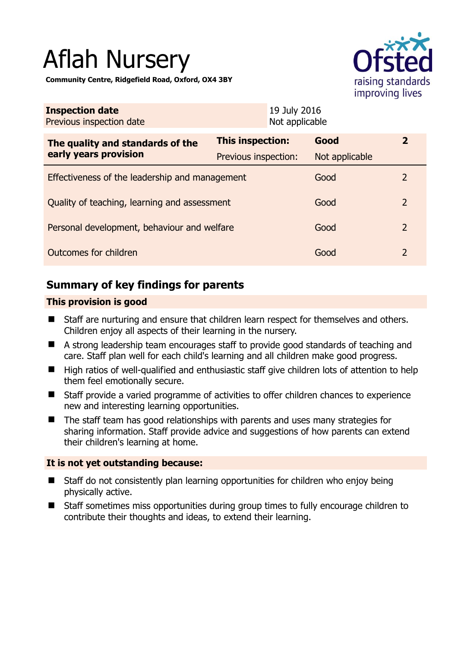# Aflah Nursery

**Community Centre, Ridgefield Road, Oxford, OX4 3BY** 



| <b>Inspection date</b><br>Previous inspection date        | 19 July 2016<br>Not applicable |                |                |
|-----------------------------------------------------------|--------------------------------|----------------|----------------|
| The quality and standards of the<br>early years provision | This inspection:               | Good           | $\overline{2}$ |
|                                                           | Previous inspection:           | Not applicable |                |
| Effectiveness of the leadership and management            |                                | Good           | 2              |
| Quality of teaching, learning and assessment              |                                | Good           | 2              |
| Personal development, behaviour and welfare               |                                | Good           | $\overline{2}$ |
| Outcomes for children                                     |                                | Good           | 2              |

# **Summary of key findings for parents**

## **This provision is good**

- Staff are nurturing and ensure that children learn respect for themselves and others. Children enjoy all aspects of their learning in the nursery.
- A strong leadership team encourages staff to provide good standards of teaching and care. Staff plan well for each child's learning and all children make good progress.
- High ratios of well-qualified and enthusiastic staff give children lots of attention to help them feel emotionally secure.
- Staff provide a varied programme of activities to offer children chances to experience new and interesting learning opportunities.
- The staff team has good relationships with parents and uses many strategies for sharing information. Staff provide advice and suggestions of how parents can extend their children's learning at home.

## **It is not yet outstanding because:**

- Staff do not consistently plan learning opportunities for children who enjoy being physically active.
- Staff sometimes miss opportunities during group times to fully encourage children to contribute their thoughts and ideas, to extend their learning.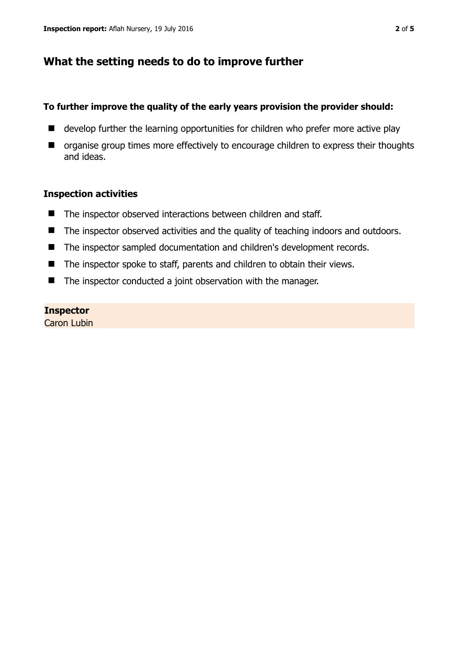# **What the setting needs to do to improve further**

#### **To further improve the quality of the early years provision the provider should:**

- develop further the learning opportunities for children who prefer more active play
- $\blacksquare$  organise group times more effectively to encourage children to express their thoughts and ideas.

### **Inspection activities**

- The inspector observed interactions between children and staff.
- The inspector observed activities and the quality of teaching indoors and outdoors.
- The inspector sampled documentation and children's development records.
- The inspector spoke to staff, parents and children to obtain their views.
- The inspector conducted a joint observation with the manager.

#### **Inspector**

Caron Lubin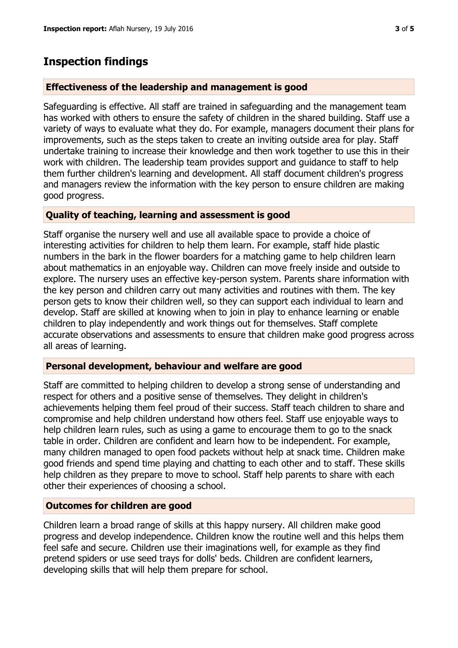# **Inspection findings**

#### **Effectiveness of the leadership and management is good**

Safeguarding is effective. All staff are trained in safeguarding and the management team has worked with others to ensure the safety of children in the shared building. Staff use a variety of ways to evaluate what they do. For example, managers document their plans for improvements, such as the steps taken to create an inviting outside area for play. Staff undertake training to increase their knowledge and then work together to use this in their work with children. The leadership team provides support and guidance to staff to help them further children's learning and development. All staff document children's progress and managers review the information with the key person to ensure children are making good progress.

#### **Quality of teaching, learning and assessment is good**

Staff organise the nursery well and use all available space to provide a choice of interesting activities for children to help them learn. For example, staff hide plastic numbers in the bark in the flower boarders for a matching game to help children learn about mathematics in an enjoyable way. Children can move freely inside and outside to explore. The nursery uses an effective key-person system. Parents share information with the key person and children carry out many activities and routines with them. The key person gets to know their children well, so they can support each individual to learn and develop. Staff are skilled at knowing when to join in play to enhance learning or enable children to play independently and work things out for themselves. Staff complete accurate observations and assessments to ensure that children make good progress across all areas of learning.

## **Personal development, behaviour and welfare are good**

Staff are committed to helping children to develop a strong sense of understanding and respect for others and a positive sense of themselves. They delight in children's achievements helping them feel proud of their success. Staff teach children to share and compromise and help children understand how others feel. Staff use enjoyable ways to help children learn rules, such as using a game to encourage them to go to the snack table in order. Children are confident and learn how to be independent. For example, many children managed to open food packets without help at snack time. Children make good friends and spend time playing and chatting to each other and to staff. These skills help children as they prepare to move to school. Staff help parents to share with each other their experiences of choosing a school.

#### **Outcomes for children are good**

Children learn a broad range of skills at this happy nursery. All children make good progress and develop independence. Children know the routine well and this helps them feel safe and secure. Children use their imaginations well, for example as they find pretend spiders or use seed trays for dolls' beds. Children are confident learners, developing skills that will help them prepare for school.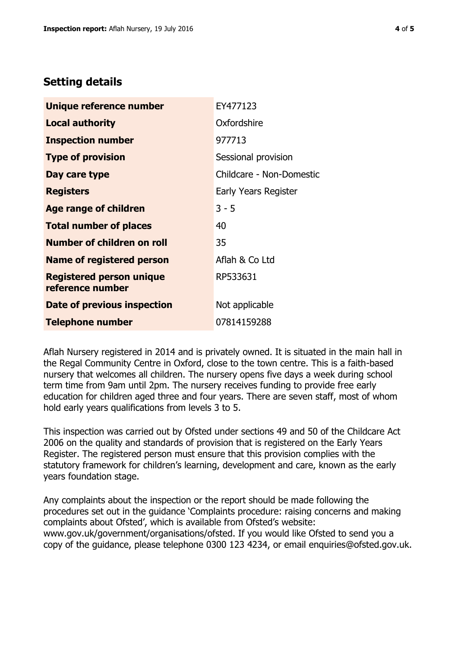## **Setting details**

| Unique reference number                             | EY477123                 |  |
|-----------------------------------------------------|--------------------------|--|
| <b>Local authority</b>                              | Oxfordshire              |  |
| <b>Inspection number</b>                            | 977713                   |  |
| <b>Type of provision</b>                            | Sessional provision      |  |
| Day care type                                       | Childcare - Non-Domestic |  |
| <b>Registers</b>                                    | Early Years Register     |  |
| <b>Age range of children</b>                        | $3 - 5$                  |  |
| <b>Total number of places</b>                       | 40                       |  |
| <b>Number of children on roll</b>                   | 35                       |  |
| Name of registered person                           | Aflah & Co Ltd           |  |
| <b>Registered person unique</b><br>reference number | RP533631                 |  |
| Date of previous inspection                         | Not applicable           |  |
| <b>Telephone number</b>                             | 07814159288              |  |

Aflah Nursery registered in 2014 and is privately owned. It is situated in the main hall in the Regal Community Centre in Oxford, close to the town centre. This is a faith-based nursery that welcomes all children. The nursery opens five days a week during school term time from 9am until 2pm. The nursery receives funding to provide free early education for children aged three and four years. There are seven staff, most of whom hold early years qualifications from levels 3 to 5.

This inspection was carried out by Ofsted under sections 49 and 50 of the Childcare Act 2006 on the quality and standards of provision that is registered on the Early Years Register. The registered person must ensure that this provision complies with the statutory framework for children's learning, development and care, known as the early years foundation stage.

Any complaints about the inspection or the report should be made following the procedures set out in the guidance 'Complaints procedure: raising concerns and making complaints about Ofsted', which is available from Ofsted's website: www.gov.uk/government/organisations/ofsted. If you would like Ofsted to send you a copy of the guidance, please telephone 0300 123 4234, or email enquiries@ofsted.gov.uk.